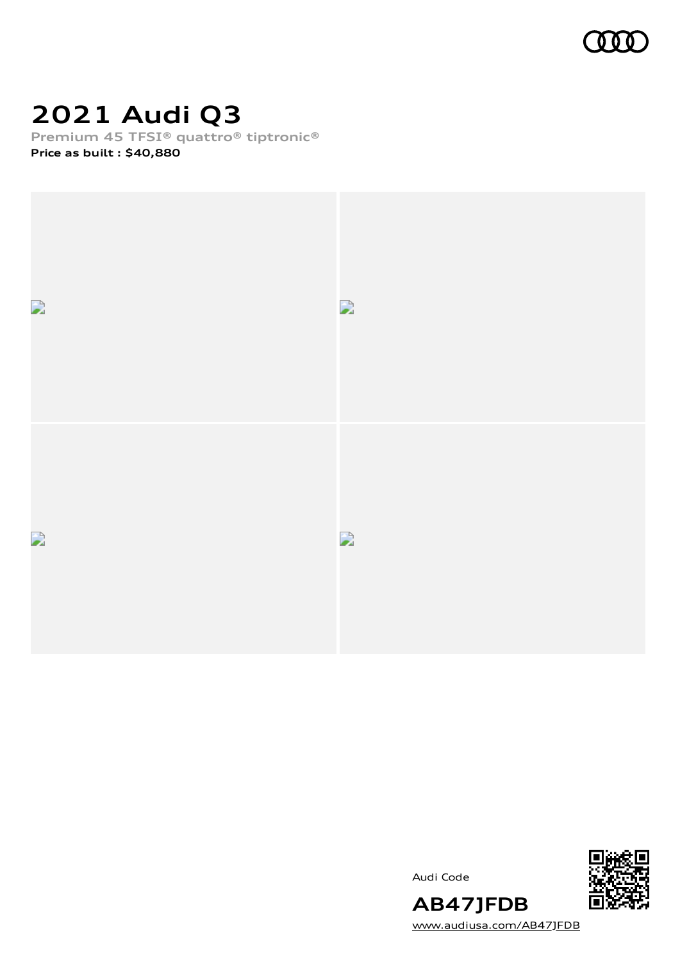

## **2021 Audi Q3**

**Premium 45 TFSI® quattro® tiptronic®**

**Price as built [:](#page-10-0) \$40,880**



Audi Code



[www.audiusa.com/AB47JFDB](https://www.audiusa.com/AB47JFDB)

**AB47JFDB**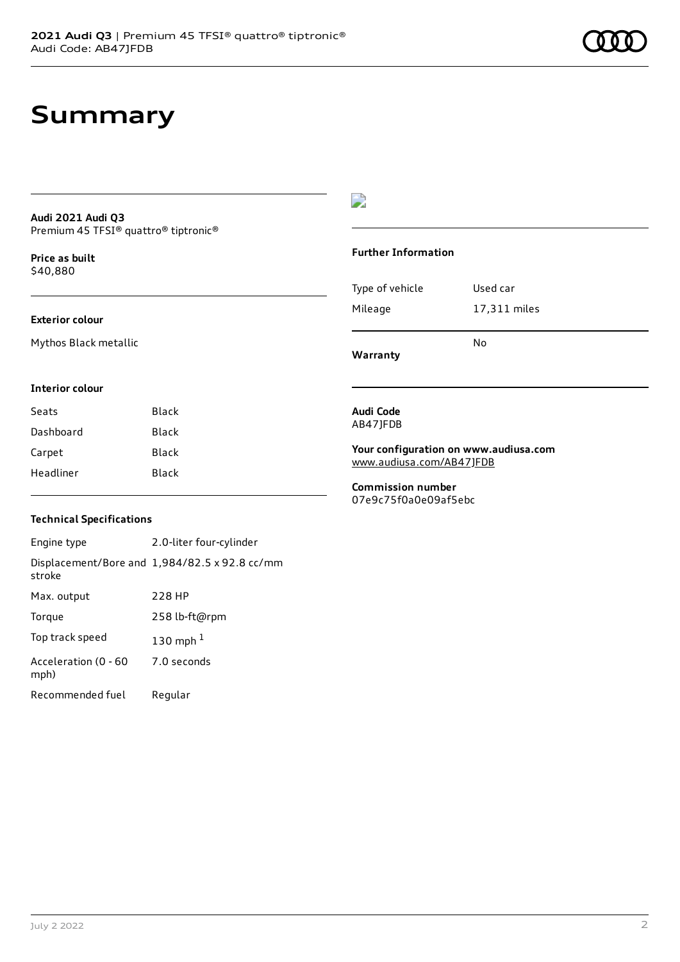### **Summary**

#### **Audi 2021 Audi Q3** Premium 45 TFSI® quattro® tiptronic®

**Price as buil[t](#page-10-0)** \$40,880

### **Exterior colour**

Mythos Black metallic

### $\overline{\phantom{a}}$

#### **Further Information**

|                 | N٥           |
|-----------------|--------------|
| Mileage         | 17,311 miles |
| Type of vehicle | Used car     |

**Warranty**

### **Interior colour**

| Seats     | Black |
|-----------|-------|
| Dashboard | Black |
| Carpet    | Black |
| Headliner | Black |

#### **Audi Code** AB47JFDB

#### **Your configuration on www.audiusa.com** [www.audiusa.com/AB47JFDB](https://www.audiusa.com/AB47JFDB)

**Commission number** 07e9c75f0a0e09af5ebc

### **Technical Specifications**

| Engine type                  | 2.0-liter four-cylinder                       |
|------------------------------|-----------------------------------------------|
| stroke                       | Displacement/Bore and 1,984/82.5 x 92.8 cc/mm |
| Max. output                  | 228 HP                                        |
| Torque                       | 258 lb-ft@rpm                                 |
| Top track speed              | 130 mph $1$                                   |
| Acceleration (0 - 60<br>mph) | 7.0 seconds                                   |
| Recommended fuel             | Regular                                       |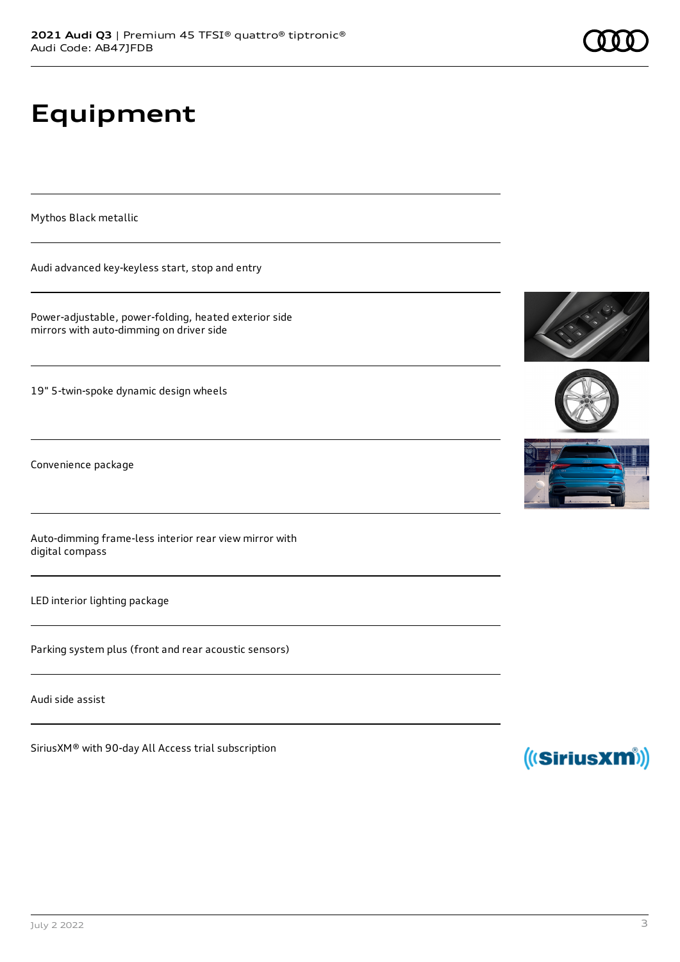# **Equipment**

Mythos Black metallic

Audi advanced key-keyless start, stop and entry

Power-adjustable, power-folding, heated exterior side mirrors with auto-dimming on driver side

19" 5-twin-spoke dynamic design wheels

Convenience package

Auto-dimming frame-less interior rear view mirror with digital compass

LED interior lighting package

Parking system plus (front and rear acoustic sensors)

Audi side assist

SiriusXM® with 90-day All Access trial subscription







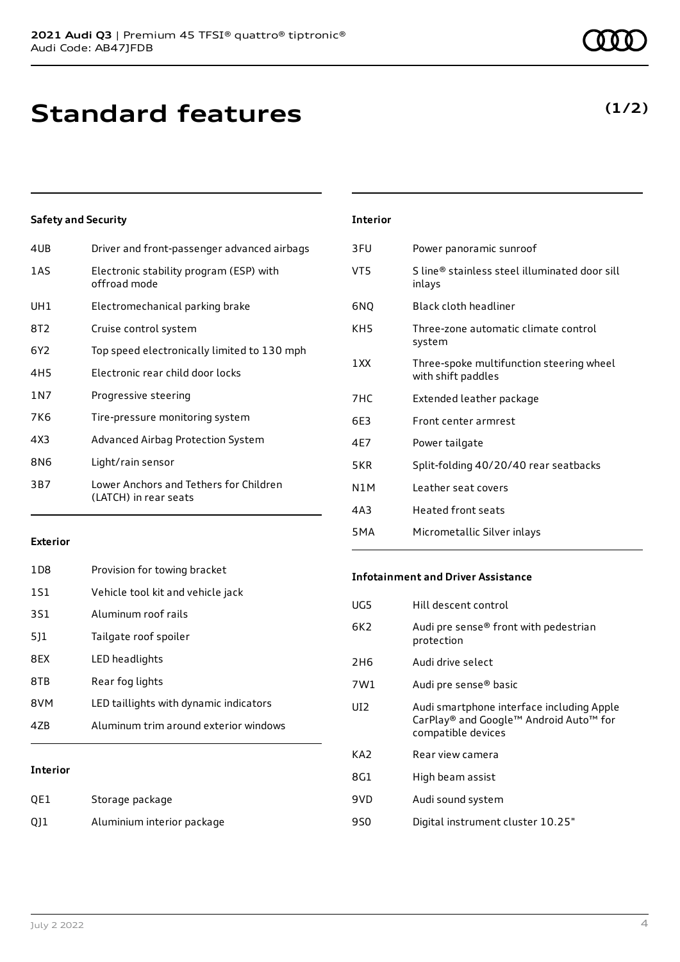### **Standard features**

### **Safety and Security**

| 4UB   | Driver and front-passenger advanced airbags                     |
|-------|-----------------------------------------------------------------|
| 1AS   | Electronic stability program (ESP) with<br>offroad mode         |
| UH1   | Electromechanical parking brake                                 |
| 8T2   | Cruise control system                                           |
| 6Y2   | Top speed electronically limited to 130 mph                     |
| 4H5   | Electronic rear child door locks                                |
| 1 N 7 | Progressive steering                                            |
| 7K6   | Tire-pressure monitoring system                                 |
| 4X3   | Advanced Airbag Protection System                               |
| 8N6   | Light/rain sensor                                               |
| 3B7   | Lower Anchors and Tethers for Children<br>(LATCH) in rear seats |
|       |                                                                 |

| <b>Interior</b>  |                                                                |
|------------------|----------------------------------------------------------------|
| 3FU              | Power panoramic sunroof                                        |
| VT5              | S line® stainless steel illuminated door sill<br>inlays        |
| 6NQ              | <b>Black cloth headliner</b>                                   |
| KH5              | Three-zone automatic climate control<br>system                 |
| 1 XX             | Three-spoke multifunction steering wheel<br>with shift paddles |
| 7HC              | Extended leather package                                       |
| 6F3              | Front center armrest                                           |
| 4E7              | Power tailgate                                                 |
| 5KR              | Split-folding 40/20/40 rear seatbacks                          |
| N1M              | Leather seat covers                                            |
| 4A3              | <b>Heated front seats</b>                                      |
| 5 <sub>M</sub> A | Micrometallic Silver inlays                                    |

#### **Exterior**

| 47B             | Aluminum trim around exterior windows  |
|-----------------|----------------------------------------|
| 8VM             | LED taillights with dynamic indicators |
| 8TB             | Rear fog lights                        |
| 8FX             | LED headlights                         |
| 511             | Tailgate roof spoiler                  |
| 3S1             | Aluminum roof rails                    |
| 1S1             | Vehicle tool kit and vehicle jack      |
| 1D <sub>8</sub> | Provision for towing bracket           |

### **Interior**

| QE1 | Storage package            |
|-----|----------------------------|
| Q11 | Aluminium interior package |

### **Infotainment and Driver Assistance**

| UG5             | Hill descent control                                                                                      |
|-----------------|-----------------------------------------------------------------------------------------------------------|
| 6K2             | Audi pre sense® front with pedestrian<br>protection                                                       |
| 2H <sub>6</sub> | Audi drive select                                                                                         |
| 7W1             | Audi pre sense® basic                                                                                     |
| UI <sub>2</sub> | Audi smartphone interface including Apple<br>CarPlay® and Google™ Android Auto™ for<br>compatible devices |
| KA <sub>2</sub> | Rear view camera                                                                                          |
| 8G1             | High beam assist                                                                                          |
| 9VD             | Audi sound system                                                                                         |
| 9S0             | Digital instrument cluster 10.25"                                                                         |

### **(1/2)**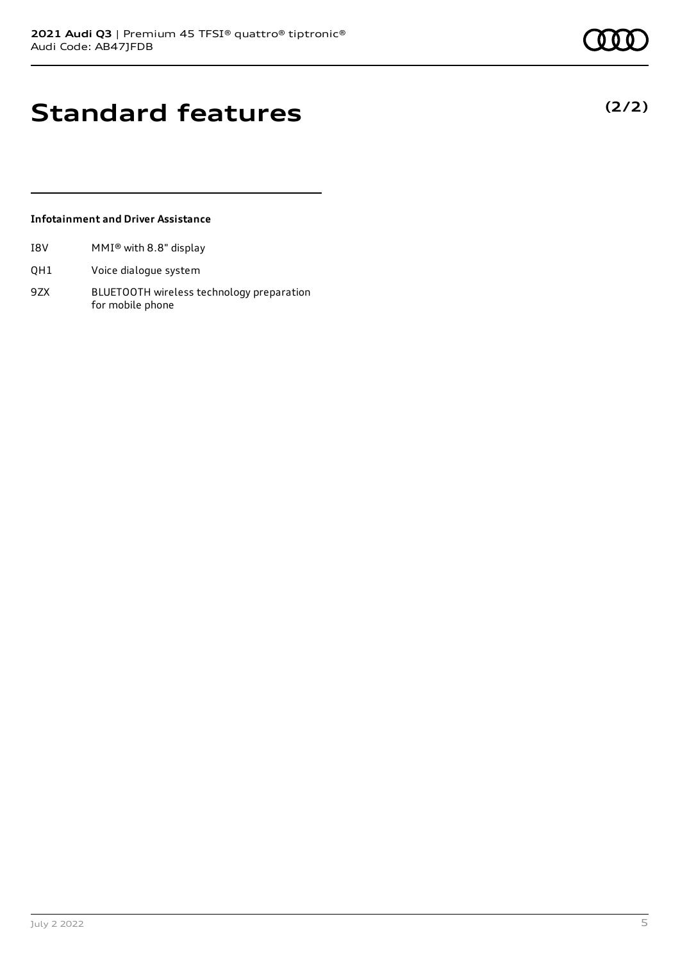**(2/2)**

### **Standard features**

#### **Infotainment and Driver Assistance**

- I8V MMI® with 8.8" display
- QH1 Voice dialogue system
- 9ZX BLUETOOTH wireless technology preparation for mobile phone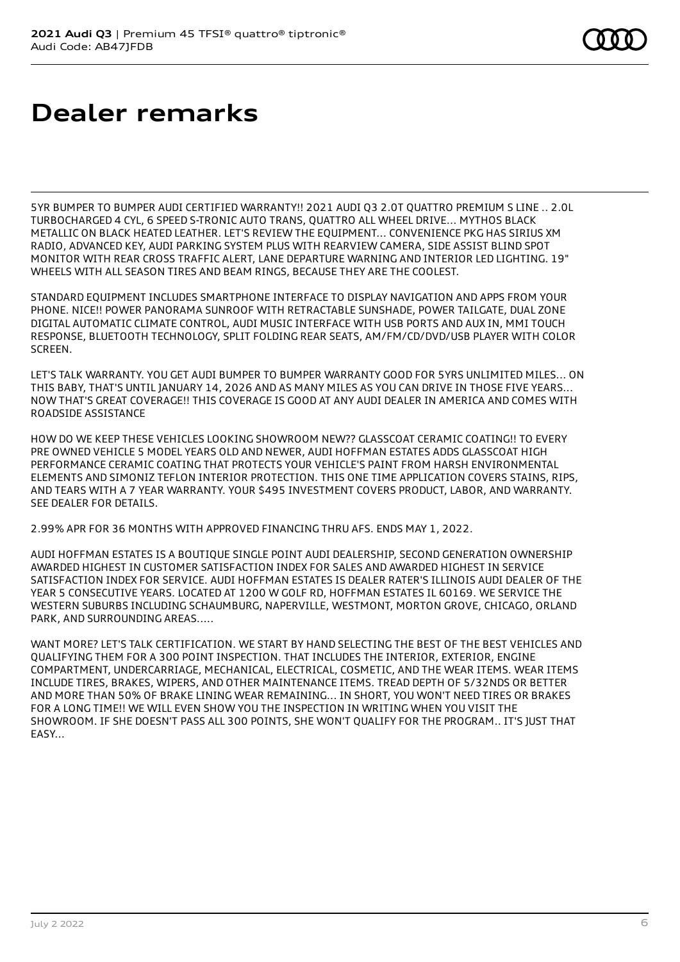# **Dealer remarks**

5YR BUMPER TO BUMPER AUDI CERTIFIED WARRANTY!! 2021 AUDI Q3 2.0T QUATTRO PREMIUM S LINE .. 2.0L TURBOCHARGED 4 CYL, 6 SPEED S-TRONIC AUTO TRANS, QUATTRO ALL WHEEL DRIVE... MYTHOS BLACK METALLIC ON BLACK HEATED LEATHER. LET'S REVIEW THE EQUIPMENT... CONVENIENCE PKG HAS SIRIUS XM RADIO, ADVANCED KEY, AUDI PARKING SYSTEM PLUS WITH REARVIEW CAMERA, SIDE ASSIST BLIND SPOT MONITOR WITH REAR CROSS TRAFFIC ALERT, LANE DEPARTURE WARNING AND INTERIOR LED LIGHTING. 19" WHEELS WITH ALL SEASON TIRES AND BEAM RINGS, BECAUSE THEY ARE THE COOLEST.

STANDARD EQUIPMENT INCLUDES SMARTPHONE INTERFACE TO DISPLAY NAVIGATION AND APPS FROM YOUR PHONE. NICE!! POWER PANORAMA SUNROOF WITH RETRACTABLE SUNSHADE, POWER TAILGATE, DUAL ZONE DIGITAL AUTOMATIC CLIMATE CONTROL, AUDI MUSIC INTERFACE WITH USB PORTS AND AUX IN, MMI TOUCH RESPONSE, BLUETOOTH TECHNOLOGY, SPLIT FOLDING REAR SEATS, AM/FM/CD/DVD/USB PLAYER WITH COLOR SCREEN.

LET'S TALK WARRANTY. YOU GET AUDI BUMPER TO BUMPER WARRANTY GOOD FOR 5YRS UNLIMITED MILES... ON THIS BABY, THAT'S UNTIL JANUARY 14, 2026 AND AS MANY MILES AS YOU CAN DRIVE IN THOSE FIVE YEARS... NOW THAT'S GREAT COVERAGE!! THIS COVERAGE IS GOOD AT ANY AUDI DEALER IN AMERICA AND COMES WITH ROADSIDE ASSISTANCE

HOW DO WE KEEP THESE VEHICLES LOOKING SHOWROOM NEW?? GLASSCOAT CERAMIC COATING!! TO EVERY PRE OWNED VEHICLE 5 MODEL YEARS OLD AND NEWER, AUDI HOFFMAN ESTATES ADDS GLASSCOAT HIGH PERFORMANCE CERAMIC COATING THAT PROTECTS YOUR VEHICLE'S PAINT FROM HARSH ENVIRONMENTAL ELEMENTS AND SIMONIZ TEFLON INTERIOR PROTECTION. THIS ONE TIME APPLICATION COVERS STAINS, RIPS, AND TEARS WITH A 7 YEAR WARRANTY. YOUR \$495 INVESTMENT COVERS PRODUCT, LABOR, AND WARRANTY. SEE DEALER FOR DETAILS.

2.99% APR FOR 36 MONTHS WITH APPROVED FINANCING THRU AFS. ENDS MAY 1, 2022.

AUDI HOFFMAN ESTATES IS A BOUTIQUE SINGLE POINT AUDI DEALERSHIP, SECOND GENERATION OWNERSHIP AWARDED HIGHEST IN CUSTOMER SATISFACTION INDEX FOR SALES AND AWARDED HIGHEST IN SERVICE SATISFACTION INDEX FOR SERVICE. AUDI HOFFMAN ESTATES IS DEALER RATER'S ILLINOIS AUDI DEALER OF THE YEAR 5 CONSECUTIVE YEARS. LOCATED AT 1200 W GOLF RD, HOFFMAN ESTATES IL 60169. WE SERVICE THE WESTERN SUBURBS INCLUDING SCHAUMBURG, NAPERVILLE, WESTMONT, MORTON GROVE, CHICAGO, ORLAND PARK, AND SURROUNDING AREAS.....

WANT MORE? LET'S TALK CERTIFICATION. WE START BY HAND SELECTING THE BEST OF THE BEST VEHICLES AND QUALIFYING THEM FOR A 300 POINT INSPECTION. THAT INCLUDES THE INTERIOR, EXTERIOR, ENGINE COMPARTMENT, UNDERCARRIAGE, MECHANICAL, ELECTRICAL, COSMETIC, AND THE WEAR ITEMS. WEAR ITEMS INCLUDE TIRES, BRAKES, WIPERS, AND OTHER MAINTENANCE ITEMS. TREAD DEPTH OF 5/32NDS OR BETTER AND MORE THAN 50% OF BRAKE LINING WEAR REMAINING... IN SHORT, YOU WON'T NEED TIRES OR BRAKES FOR A LONG TIME!! WE WILL EVEN SHOW YOU THE INSPECTION IN WRITING WHEN YOU VISIT THE SHOWROOM. IF SHE DOESN'T PASS ALL 300 POINTS, SHE WON'T QUALIFY FOR THE PROGRAM.. IT'S JUST THAT EASY...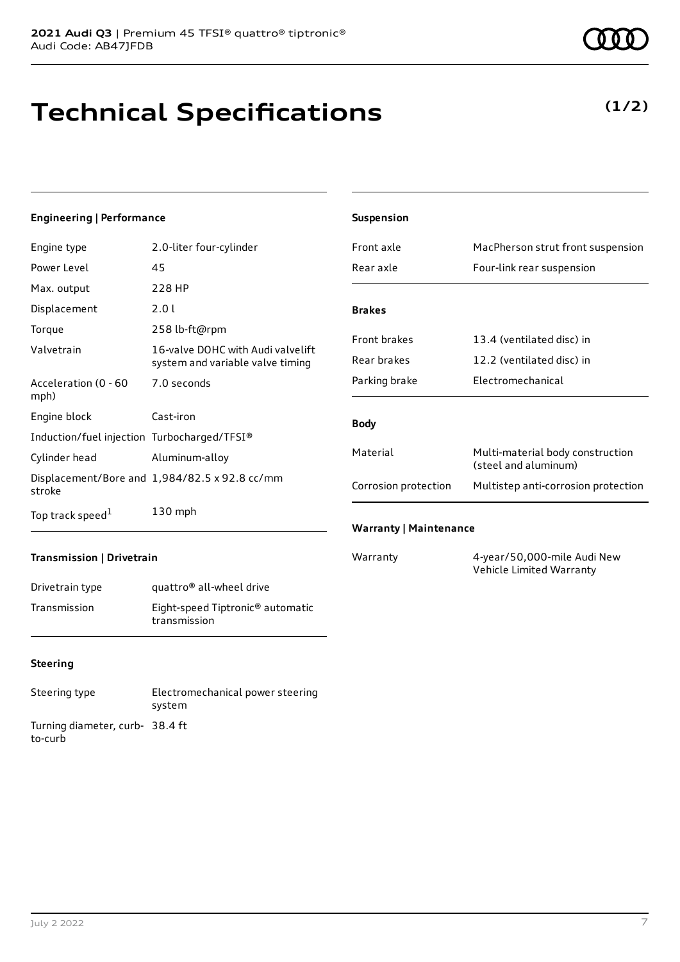# **Technical Specifications**

#### **Engineering | Performance**

| Engine type                                 | 2.0-liter four-cylinder                                               |
|---------------------------------------------|-----------------------------------------------------------------------|
| Power Level                                 | 45                                                                    |
| Max. output                                 | 228 HP                                                                |
| Displacement                                | 2.0 L                                                                 |
| Torque                                      | 258 lb-ft@rpm                                                         |
| Valvetrain                                  | 16-valve DOHC with Audi valvelift<br>system and variable valve timing |
| Acceleration (0 - 60<br>mph)                | 7.0 seconds                                                           |
| Engine block                                | Cast-iron                                                             |
| Induction/fuel injection Turbocharged/TFSI® |                                                                       |
| Cylinder head                               | Aluminum-alloy                                                        |
| stroke                                      | Displacement/Bore and 1,984/82.5 x 92.8 cc/mm                         |
| Top track speed <sup>1</sup>                | $130$ mph                                                             |

| Suspension                    |                                                          |
|-------------------------------|----------------------------------------------------------|
| Front axle                    | MacPherson strut front suspension                        |
| Rear axle                     | Four-link rear suspension                                |
|                               |                                                          |
| <b>Brakes</b>                 |                                                          |
| <b>Front brakes</b>           | 13.4 (ventilated disc) in                                |
| Rear brakes                   | 12.2 (ventilated disc) in                                |
| Parking brake                 | Electromechanical                                        |
|                               |                                                          |
| <b>Body</b>                   |                                                          |
| Material                      | Multi-material body construction<br>(steel and aluminum) |
| Corrosion protection          | Multistep anti-corrosion protection                      |
| <b>Warranty   Maintenance</b> |                                                          |

### **Transmission | Drivetrain**

| Drivetrain type | quattro <sup>®</sup> all-wheel drive                         |
|-----------------|--------------------------------------------------------------|
| Transmission    | Eight-speed Tiptronic <sup>®</sup> automatic<br>transmission |

### **Steering**

| Steering type                             | Electromechanical power steering<br>system |
|-------------------------------------------|--------------------------------------------|
| Turning diameter, curb-38.4 ft<br>to-curb |                                            |

Warranty 4-year/50,000-mile Audi New Vehicle Limited Warranty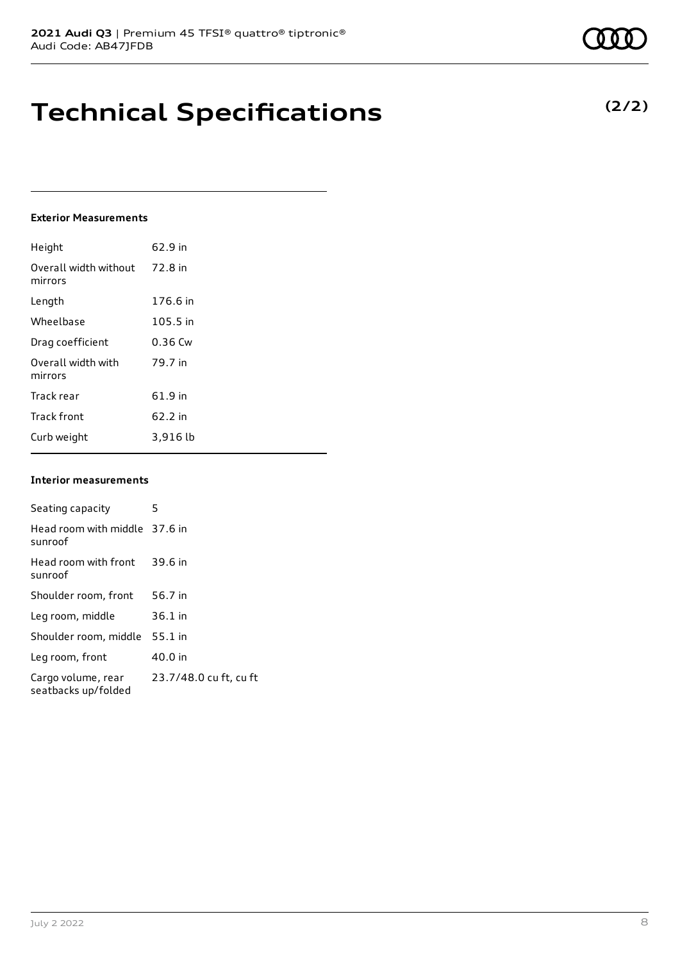### **Technical Specifications**

#### **Exterior Measurements**

| Height                           | 62.9 in   |
|----------------------------------|-----------|
| Overall width without<br>mirrors | 72.8 in   |
| Length                           | 176.6 in  |
| Wheelbase                        | 105.5 in  |
| Drag coefficient                 | $0.36$ Cw |
| Overall width with<br>mirrors    | 79.7 in   |
| Track rear                       | 61.9 in   |
| <b>Track front</b>               | 62.2 in   |
| Curb weight                      | 3,916 lb  |

#### **Interior measurements**

| Seating capacity                          | 5                      |
|-------------------------------------------|------------------------|
| Head room with middle 37.6 in<br>sunroof  |                        |
| Head room with front<br>sunroof           | 39.6 in                |
| Shoulder room, front                      | 56.7 in                |
| Leg room, middle                          | $36.1$ in              |
| Shoulder room, middle                     | $55.1$ in              |
| Leg room, front                           | 40.0 in                |
| Cargo volume, rear<br>seatbacks up/folded | 23.7/48.0 cu ft, cu ft |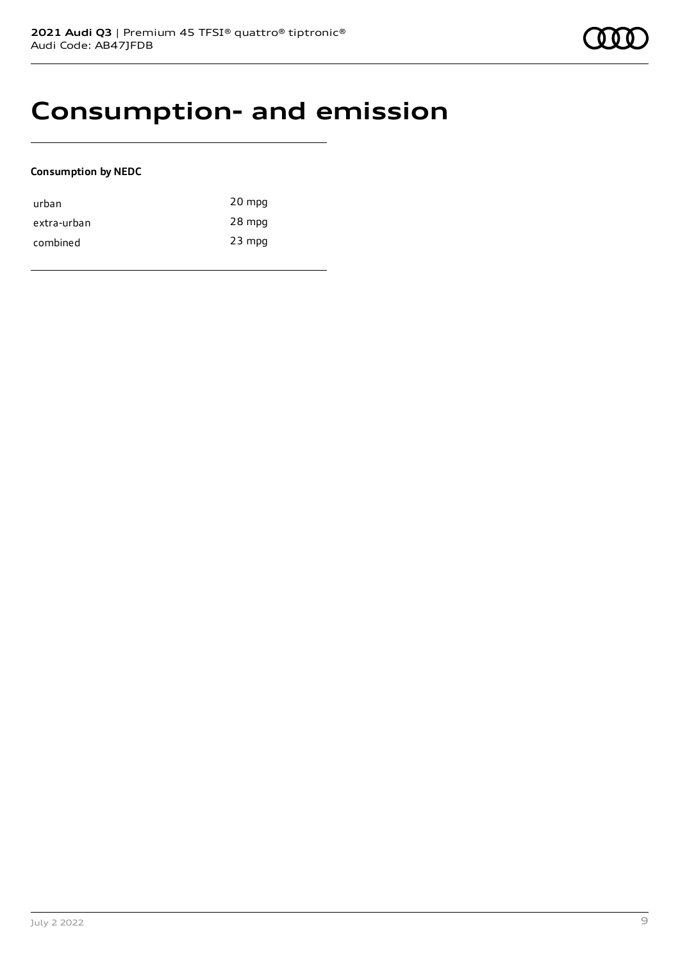### **Consumption- and emission**

### **Consumption by NEDC**

| urban       | 20 mpg   |
|-------------|----------|
| extra-urban | 28 mpg   |
| combined    | $23$ mpg |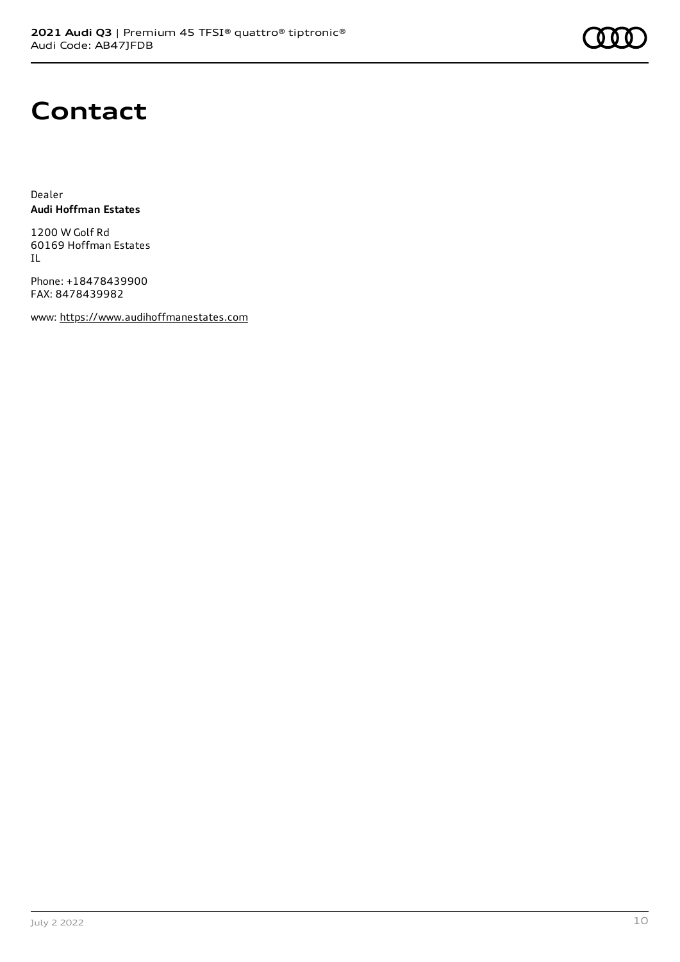### **Contact**

Dealer **Audi Hoffman Estates**

1200 W Golf Rd 60169 Hoffman Estates IL

Phone: +18478439900 FAX: 8478439982

www: [https://www.audihoffmanestates.com](https://www.audihoffmanestates.com/)